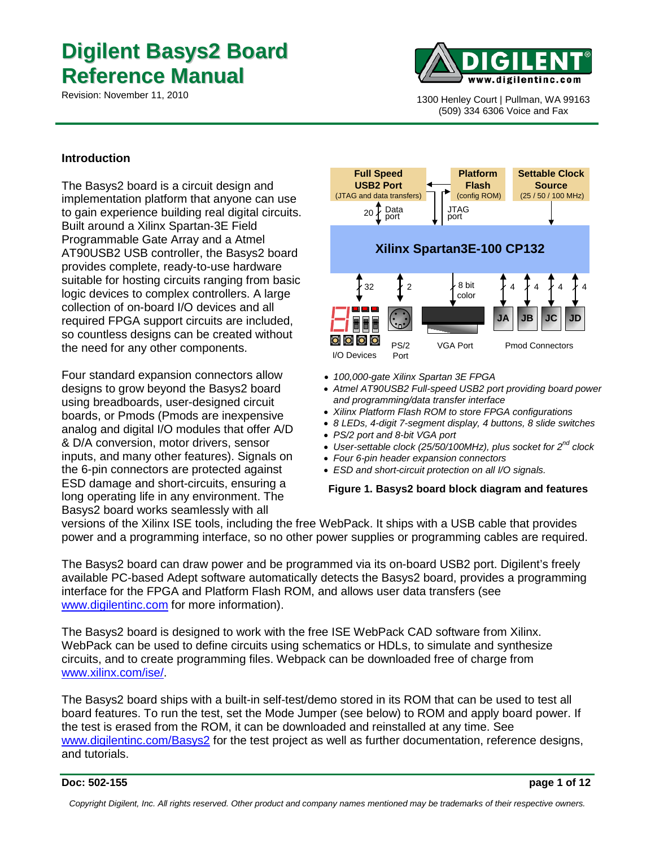# **Digilent Basys2 Board Reference Manual**



1300 Henley Court | Pullman, WA 99163 (509) 334 6306 Voice and Fax

#### **Introduction**

The Basys2 board is a circuit design and implementation platform that anyone can use to gain experience building real digital circuits. Built around a Xilinx Spartan-3E Field Programmable Gate Array and a Atmel AT90USB2 USB controller, the Basys2 board provides complete, ready-to-use hardware suitable for hosting circuits ranging from basic logic devices to complex controllers. A large collection of on-board I/O devices and all required FPGA support circuits are included, so countless designs can be created without the need for any other components.

Four standard expansion connectors allow designs to grow beyond the Basys2 board using breadboards, user-designed circuit boards, or Pmods (Pmods are inexpensive analog and digital I/O modules that offer A/D & D/A conversion, motor drivers, sensor inputs, and many other features). Signals on the 6-pin connectors are protected against ESD damage and short-circuits, ensuring a long operating life in any environment. The Basys2 board works seamlessly with all



- *100,000-gate Xilinx Spartan 3E FPGA*
- *Atmel AT90USB2 Full-speed USB2 port providing board power and programming/data transfer interface*
- *Xilinx Platform Flash ROM to store FPGA configurations*
- *8 LEDs, 4-digit 7-segment display, 4 buttons, 8 slide switches*
- *PS/2 port and 8-bit VGA port*
- *User-settable clock (25/50/100MHz), plus socket for 2nd clock*
- *Four 6-pin header expansion connectors*
- *ESD and short-circuit protection on all I/O signals.*

#### **Figure 1. Basys2 board block diagram and features**

versions of the Xilinx ISE tools, including the free WebPack. It ships with a USB cable that provides power and a programming interface, so no other power supplies or programming cables are required.

The Basys2 board can draw power and be programmed via its on-board USB2 port. Digilent's freely available PC-based Adept software automatically detects the Basys2 board, provides a programming interface for the FPGA and Platform Flash ROM, and allows user data transfers (see [www.digilentinc.com](http://www.digilentinc.com/) for more information).

The Basys2 board is designed to work with the free ISE WebPack CAD software from Xilinx. WebPack can be used to define circuits using schematics or HDLs, to simulate and synthesize circuits, and to create programming files. Webpack can be downloaded free of charge from [www.xilinx.com/ise/.](http://www.xilinx.com/ise/)

The Basys2 board ships with a built-in self-test/demo stored in its ROM that can be used to test all board features. To run the test, set the Mode Jumper (see below) to ROM and apply board power. If the test is erased from the ROM, it can be downloaded and reinstalled at any time. See [www.digilentinc.com/Basys2](http://www.digilentinc.com/basys) for the test project as well as further documentation, reference designs, and tutorials.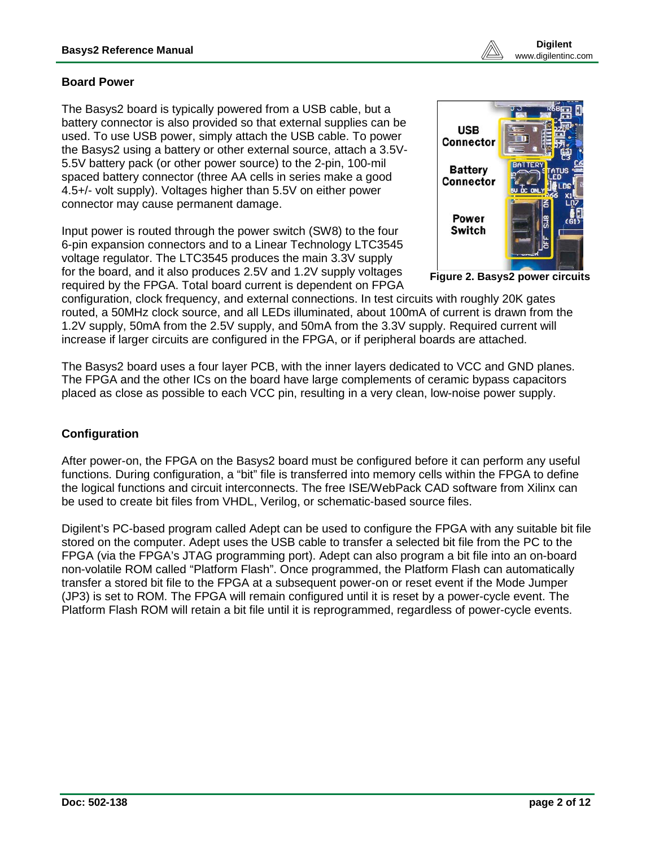## **Board Power**

The Basys2 board is typically powered from a USB cable, but a battery connector is also provided so that external supplies can be used. To use USB power, simply attach the USB cable. To power the Basys2 using a battery or other external source, attach a 3.5V-5.5V battery pack (or other power source) to the 2-pin, 100-mil spaced battery connector (three AA cells in series make a good 4.5+/- volt supply). Voltages higher than 5.5V on either power connector may cause permanent damage.

Input power is routed through the power switch (SW8) to the four 6-pin expansion connectors and to a Linear Technology LTC3545 voltage regulator. The LTC3545 produces the main 3.3V supply for the board, and it also produces 2.5V and 1.2V supply voltages required by the FPGA. Total board current is dependent on FPGA



**Figure 2. Basys2 power circuits**

configuration, clock frequency, and external connections. In test circuits with roughly 20K gates routed, a 50MHz clock source, and all LEDs illuminated, about 100mA of current is drawn from the 1.2V supply, 50mA from the 2.5V supply, and 50mA from the 3.3V supply. Required current will increase if larger circuits are configured in the FPGA, or if peripheral boards are attached.

The Basys2 board uses a four layer PCB, with the inner layers dedicated to VCC and GND planes. The FPGA and the other ICs on the board have large complements of ceramic bypass capacitors placed as close as possible to each VCC pin, resulting in a very clean, low-noise power supply.

## **Configuration**

After power-on, the FPGA on the Basys2 board must be configured before it can perform any useful functions. During configuration, a "bit" file is transferred into memory cells within the FPGA to define the logical functions and circuit interconnects. The free ISE/WebPack CAD software from Xilinx can be used to create bit files from VHDL, Verilog, or schematic-based source files.

Digilent's PC-based program called Adept can be used to configure the FPGA with any suitable bit file stored on the computer. Adept uses the USB cable to transfer a selected bit file from the PC to the FPGA (via the FPGA's JTAG programming port). Adept can also program a bit file into an on-board non-volatile ROM called "Platform Flash". Once programmed, the Platform Flash can automatically transfer a stored bit file to the FPGA at a subsequent power-on or reset event if the Mode Jumper (JP3) is set to ROM. The FPGA will remain configured until it is reset by a power-cycle event. The Platform Flash ROM will retain a bit file until it is reprogrammed, regardless of power-cycle events.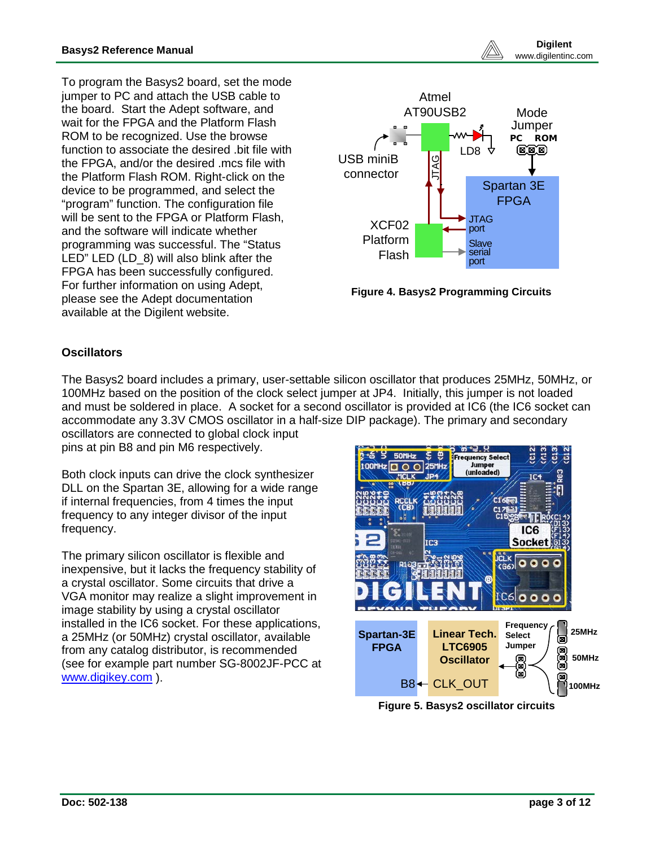To program the Basys2 board, set the mode jumper to PC and attach the USB cable to the board. Start the Adept software, and wait for the FPGA and the Platform Flash ROM to be recognized. Use the browse function to associate the desired .bit file with the FPGA, and/or the desired .mcs file with the Platform Flash ROM. Right-click on the device to be programmed, and select the "program" function. The configuration file will be sent to the FPGA or Platform Flash. and the software will indicate whether programming was successful. The "Status LED" LED (LD\_8) will also blink after the FPGA has been successfully configured. For further information on using Adept, please see the Adept documentation available at the Digilent website.



**Figure 4. Basys2 Programming Circuits**

## **Oscillators**

The Basys2 board includes a primary, user-settable silicon oscillator that produces 25MHz, 50MHz, or 100MHz based on the position of the clock select jumper at JP4. Initially, this jumper is not loaded and must be soldered in place. A socket for a second oscillator is provided at IC6 (the IC6 socket can accommodate any 3.3V CMOS oscillator in a half-size DIP package). The primary and secondary oscillators are connected to global clock input pins at pin B8 and pin M6 respectively.

Both clock inputs can drive the clock synthesizer DLL on the Spartan 3E, allowing for a wide range if internal frequencies, from 4 times the input frequency to any integer divisor of the input frequency.

The primary silicon oscillator is flexible and inexpensive, but it lacks the frequency stability of a crystal oscillator. Some circuits that drive a VGA monitor may realize a slight improvement in image stability by using a crystal oscillator installed in the IC6 socket. For these applications, a 25MHz (or 50MHz) crystal oscillator, available from any catalog distributor, is recommended (see for example part number SG-8002JF-PCC at [www.digikey.com](http://www.digikey.com/) ).



**Figure 5. Basys2 oscillator circuits**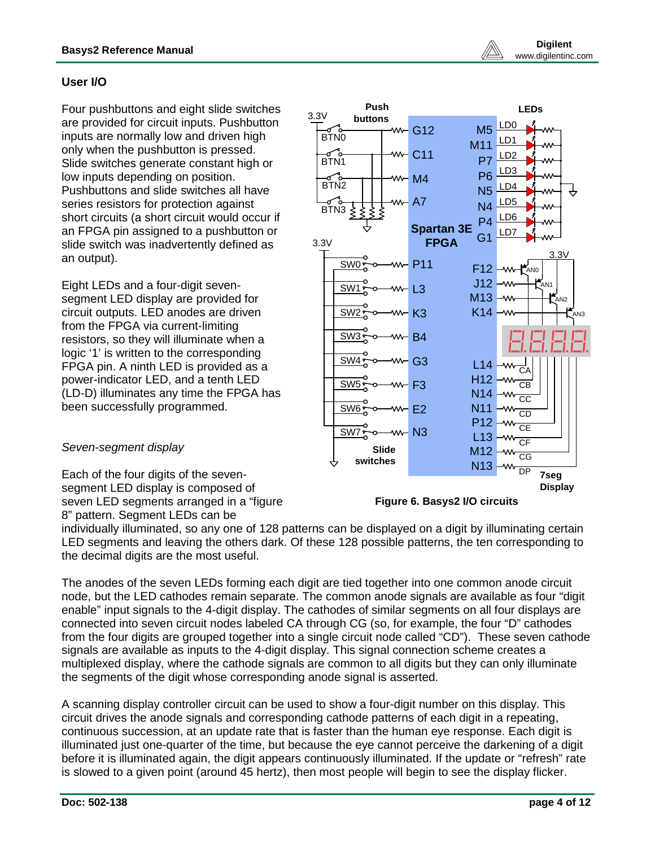## **User I/O**

Four pushbuttons and eight slide switches are provided for circuit inputs. Pushbutton inputs are normally low and driven high only when the pushbutton is pressed. Slide switches generate constant high or low inputs depending on position. Pushbuttons and slide switches all have series resistors for protection against short circuits (a short circuit would occur if an FPGA pin assigned to a pushbutton or slide switch was inadvertently defined as an output).

Eight LEDs and a four-digit sevensegment LED display are provided for circuit outputs. LED anodes are driven from the FPGA via current-limiting resistors, so they will illuminate when a logic '1' is written to the corresponding FPGA pin. A ninth LED is provided as a power-indicator LED, and a tenth LED (LD-D) illuminates any time the FPGA has been successfully programmed.



#### *Seven-segment display*

Each of the four digits of the sevensegment LED display is composed of seven LED segments arranged in a "figure 8" pattern. Segment LEDs can be



individually illuminated, so any one of 128 patterns can be displayed on a digit by illuminating certain LED segments and leaving the others dark. Of these 128 possible patterns, the ten corresponding to the decimal digits are the most useful.

The anodes of the seven LEDs forming each digit are tied together into one common anode circuit node, but the LED cathodes remain separate. The common anode signals are available as four "digit enable" input signals to the 4-digit display. The cathodes of similar segments on all four displays are connected into seven circuit nodes labeled CA through CG (so, for example, the four "D" cathodes from the four digits are grouped together into a single circuit node called "CD"). These seven cathode signals are available as inputs to the 4-digit display. This signal connection scheme creates a multiplexed display, where the cathode signals are common to all digits but they can only illuminate the segments of the digit whose corresponding anode signal is asserted.

A scanning display controller circuit can be used to show a four-digit number on this display. This circuit drives the anode signals and corresponding cathode patterns of each digit in a repeating, continuous succession, at an update rate that is faster than the human eye response. Each digit is illuminated just one-quarter of the time, but because the eye cannot perceive the darkening of a digit before it is illuminated again, the digit appears continuously illuminated. If the update or "refresh" rate is slowed to a given point (around 45 hertz), then most people will begin to see the display flicker.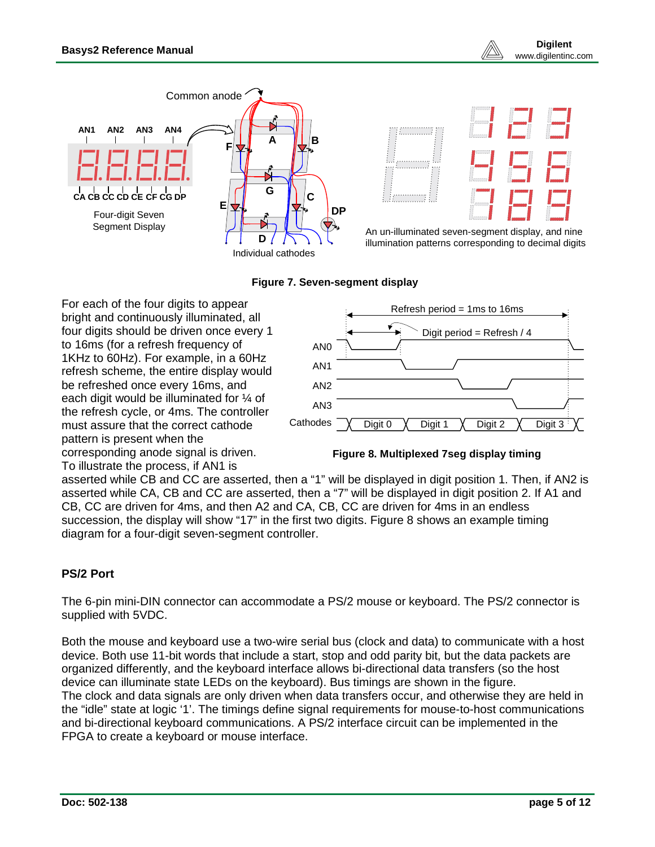



An un-illuminated seven-segment display, and nine illumination patterns corresponding to decimal digits

#### **Figure 7. Seven-segment display**

For each of the four digits to appear bright and continuously illuminated, all four digits should be driven once every 1 to 16ms (for a refresh frequency of 1KHz to 60Hz). For example, in a 60Hz refresh scheme, the entire display would be refreshed once every 16ms, and each digit would be illuminated for ¼ of the refresh cycle, or 4ms. The controller must assure that the correct cathode pattern is present when the corresponding anode signal is driven. To illustrate the process, if AN1 is



#### **Figure 8. Multiplexed 7seg display timing**

asserted while CB and CC are asserted, then a "1" will be displayed in digit position 1. Then, if AN2 is asserted while CA, CB and CC are asserted, then a "7" will be displayed in digit position 2. If A1 and CB, CC are driven for 4ms, and then A2 and CA, CB, CC are driven for 4ms in an endless succession, the display will show "17" in the first two digits. Figure 8 shows an example timing diagram for a four-digit seven-segment controller.

## **PS/2 Port**

The 6-pin mini-DIN connector can accommodate a PS/2 mouse or keyboard. The PS/2 connector is supplied with 5VDC.

Both the mouse and keyboard use a two-wire serial bus (clock and data) to communicate with a host device. Both use 11-bit words that include a start, stop and odd parity bit, but the data packets are organized differently, and the keyboard interface allows bi-directional data transfers (so the host device can illuminate state LEDs on the keyboard). Bus timings are shown in the figure. The clock and data signals are only driven when data transfers occur, and otherwise they are held in the "idle" state at logic '1'. The timings define signal requirements for mouse-to-host communications and bi-directional keyboard communications. A PS/2 interface circuit can be implemented in the FPGA to create a keyboard or mouse interface.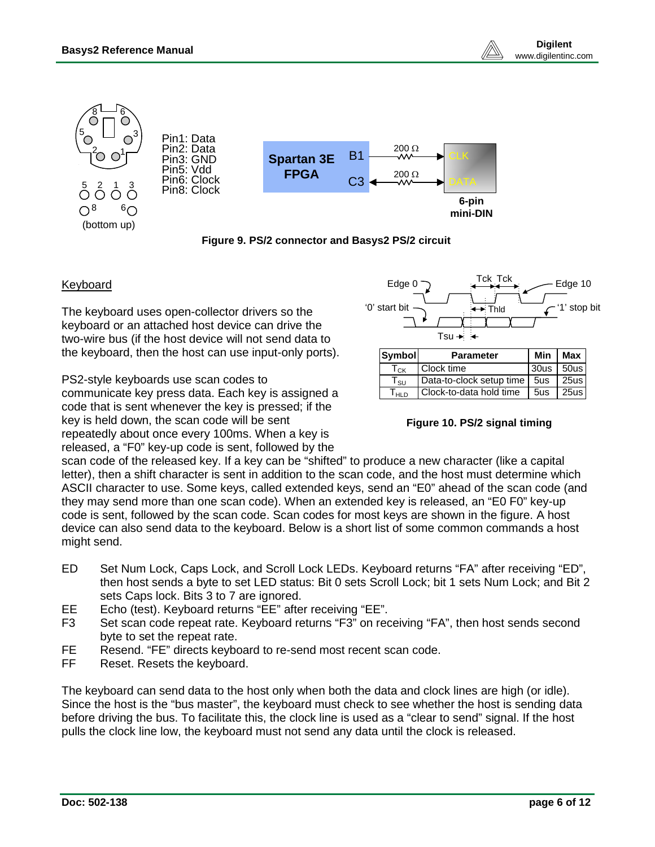

**Figure 9. PS/2 connector and Basys2 PS/2 circuit**

#### Keyboard

The keyboard uses open-collector drivers so the keyboard or an attached host device can drive the two-wire bus (if the host device will not send data to the keyboard, then the host can use input-only ports).

PS2-style keyboards use scan codes to communicate key press data. Each key is assigned a code that is sent whenever the key is pressed; if the key is held down, the scan code will be sent repeatedly about once every 100ms. When a key is released, a "F0" key-up code is sent, followed by the



#### **Figure 10. PS/2 signal timing**

 $T<sub>HLD</sub>$  Clock-to-data hold time | 5us | 25us

scan code of the released key. If a key can be "shifted" to produce a new character (like a capital letter), then a shift character is sent in addition to the scan code, and the host must determine which ASCII character to use. Some keys, called extended keys, send an "E0" ahead of the scan code (and they may send more than one scan code). When an extended key is released, an "E0 F0" key-up code is sent, followed by the scan code. Scan codes for most keys are shown in the figure. A host device can also send data to the keyboard. Below is a short list of some common commands a host might send.

- ED Set Num Lock, Caps Lock, and Scroll Lock LEDs. Keyboard returns "FA" after receiving "ED", then host sends a byte to set LED status: Bit 0 sets Scroll Lock; bit 1 sets Num Lock; and Bit 2 sets Caps lock. Bits 3 to 7 are ignored.
- EE Echo (test). Keyboard returns "EE" after receiving "EE".
- F3 Set scan code repeat rate. Keyboard returns "F3" on receiving "FA", then host sends second byte to set the repeat rate.
- FE Resend. "FE" directs keyboard to re-send most recent scan code.
- FF Reset. Resets the keyboard.

The keyboard can send data to the host only when both the data and clock lines are high (or idle). Since the host is the "bus master", the keyboard must check to see whether the host is sending data before driving the bus. To facilitate this, the clock line is used as a "clear to send" signal. If the host pulls the clock line low, the keyboard must not send any data until the clock is released.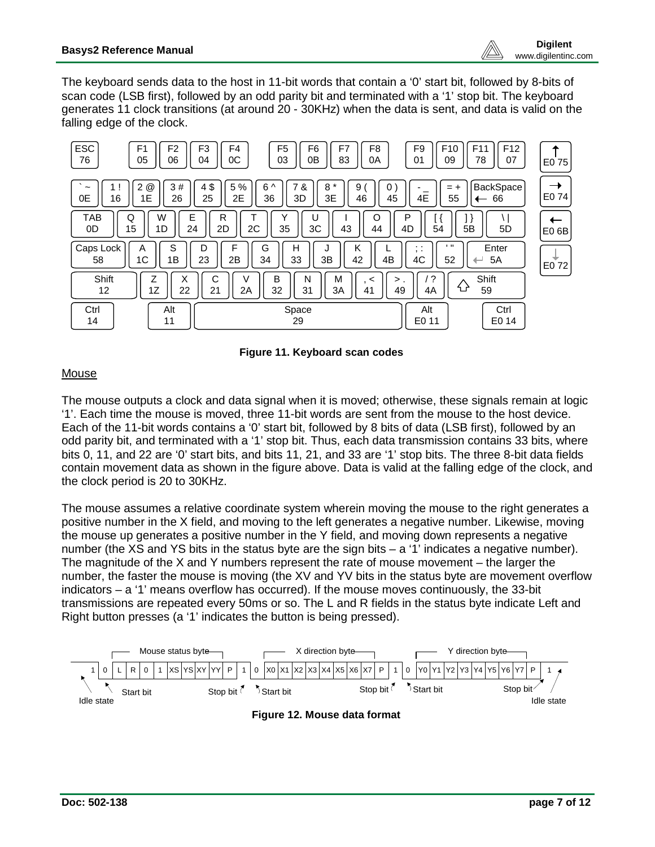The keyboard sends data to the host in 11-bit words that contain a '0' start bit, followed by 8-bits of scan code (LSB first), followed by an odd parity bit and terminated with a '1' stop bit. The keyboard generates 11 clock transitions (at around 20 - 30KHz) when the data is sent, and data is valid on the falling edge of the clock.





## **Mouse**

The mouse outputs a clock and data signal when it is moved; otherwise, these signals remain at logic '1'. Each time the mouse is moved, three 11-bit words are sent from the mouse to the host device. Each of the 11-bit words contains a '0' start bit, followed by 8 bits of data (LSB first), followed by an odd parity bit, and terminated with a '1' stop bit. Thus, each data transmission contains 33 bits, where bits 0, 11, and 22 are '0' start bits, and bits 11, 21, and 33 are '1' stop bits. The three 8-bit data fields contain movement data as shown in the figure above. Data is valid at the falling edge of the clock, and the clock period is 20 to 30KHz.

The mouse assumes a relative coordinate system wherein moving the mouse to the right generates a positive number in the X field, and moving to the left generates a negative number. Likewise, moving the mouse up generates a positive number in the Y field, and moving down represents a negative number (the XS and YS bits in the status byte are the sign bits – a '1' indicates a negative number). The magnitude of the X and Y numbers represent the rate of mouse movement – the larger the number, the faster the mouse is moving (the XV and YV bits in the status byte are movement overflow indicators – a '1' means overflow has occurred). If the mouse moves continuously, the 33-bit transmissions are repeated every 50ms or so. The L and R fields in the status byte indicate Left and Right button presses (a '1' indicates the button is being pressed).

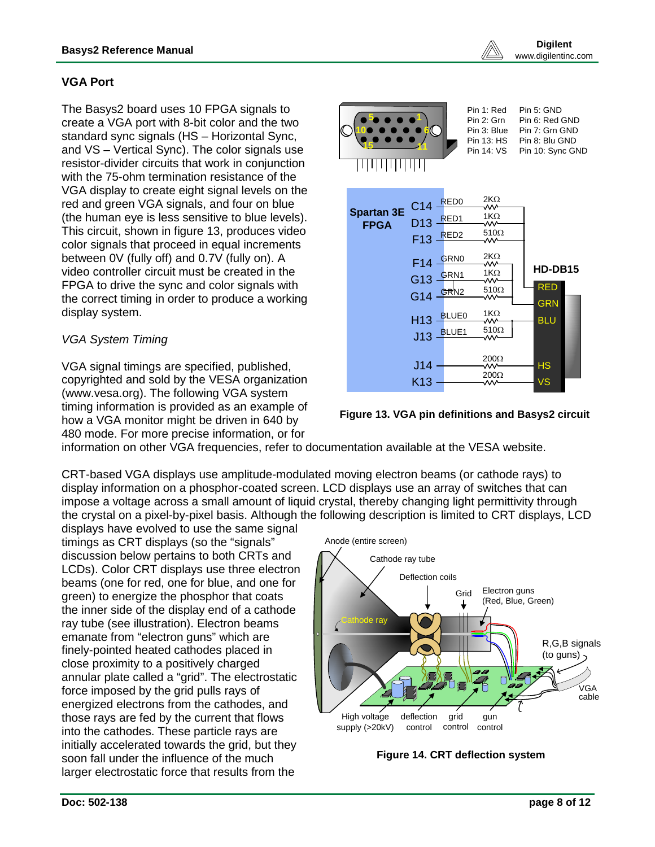## **VGA Port**

The Basys2 board uses 10 FPGA signals to create a VGA port with 8-bit color and the two standard sync signals (HS – Horizontal Sync, and VS – Vertical Sync). The color signals use resistor-divider circuits that work in conjunction with the 75-ohm termination resistance of the VGA display to create eight signal levels on the red and green VGA signals, and four on blue (the human eye is less sensitive to blue levels). This circuit, shown in figure 13, produces video color signals that proceed in equal increments between 0V (fully off) and 0.7V (fully on). A video controller circuit must be created in the FPGA to drive the sync and color signals with the correct timing in order to produce a working display system.

## *VGA System Timing*

VGA signal timings are specified, published, copyrighted and sold by the VESA organization (www.vesa.org). The following VGA system timing information is provided as an example of how a VGA monitor might be driven in 640 by 480 mode. For more precise information, or for





information on other VGA frequencies, refer to documentation available at the VESA website.

CRT-based VGA displays use amplitude-modulated moving electron beams (or cathode rays) to display information on a phosphor-coated screen. LCD displays use an array of switches that can impose a voltage across a small amount of liquid crystal, thereby changing light permittivity through the crystal on a pixel-by-pixel basis. Although the following description is limited to CRT displays, LCD

displays have evolved to use the same signal timings as CRT displays (so the "signals" discussion below pertains to both CRTs and LCDs). Color CRT displays use three electron beams (one for red, one for blue, and one for green) to energize the phosphor that coats the inner side of the display end of a cathode ray tube (see illustration). Electron beams emanate from "electron guns" which are finely-pointed heated cathodes placed in close proximity to a positively charged annular plate called a "grid". The electrostatic force imposed by the grid pulls rays of energized electrons from the cathodes, and those rays are fed by the current that flows into the cathodes. These particle rays are initially accelerated towards the grid, but they soon fall under the influence of the much larger electrostatic force that results from the



**Figure 14. CRT deflection system**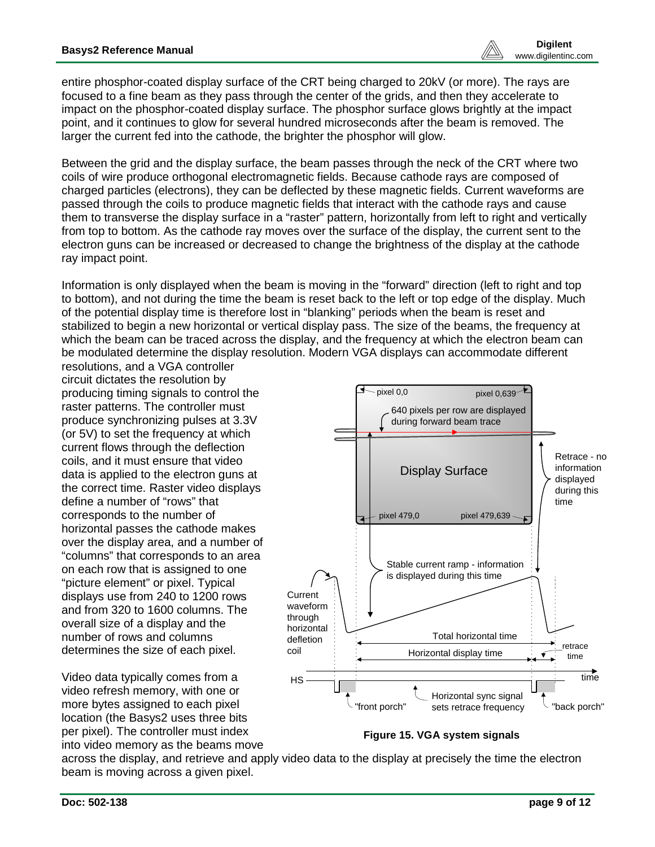entire phosphor-coated display surface of the CRT being charged to 20kV (or more). The rays are focused to a fine beam as they pass through the center of the grids, and then they accelerate to impact on the phosphor-coated display surface. The phosphor surface glows brightly at the impact point, and it continues to glow for several hundred microseconds after the beam is removed. The larger the current fed into the cathode, the brighter the phosphor will glow.

Between the grid and the display surface, the beam passes through the neck of the CRT where two coils of wire produce orthogonal electromagnetic fields. Because cathode rays are composed of charged particles (electrons), they can be deflected by these magnetic fields. Current waveforms are passed through the coils to produce magnetic fields that interact with the cathode rays and cause them to transverse the display surface in a "raster" pattern, horizontally from left to right and vertically from top to bottom. As the cathode ray moves over the surface of the display, the current sent to the electron guns can be increased or decreased to change the brightness of the display at the cathode ray impact point.

Information is only displayed when the beam is moving in the "forward" direction (left to right and top to bottom), and not during the time the beam is reset back to the left or top edge of the display. Much of the potential display time is therefore lost in "blanking" periods when the beam is reset and stabilized to begin a new horizontal or vertical display pass. The size of the beams, the frequency at which the beam can be traced across the display, and the frequency at which the electron beam can be modulated determine the display resolution. Modern VGA displays can accommodate different

resolutions, and a VGA controller circuit dictates the resolution by producing timing signals to control the raster patterns. The controller must produce synchronizing pulses at 3.3V (or 5V) to set the frequency at which current flows through the deflection coils, and it must ensure that video data is applied to the electron guns at the correct time. Raster video displays define a number of "rows" that corresponds to the number of horizontal passes the cathode makes over the display area, and a number of "columns" that corresponds to an area on each row that is assigned to one "picture element" or pixel. Typical displays use from 240 to 1200 rows and from 320 to 1600 columns. The overall size of a display and the number of rows and columns determines the size of each pixel.

Video data typically comes from a video refresh memory, with one or more bytes assigned to each pixel location (the Basys2 uses three bits per pixel). The controller must index into video memory as the beams move



**Figure 15. VGA system signals**

across the display, and retrieve and apply video data to the display at precisely the time the electron beam is moving across a given pixel.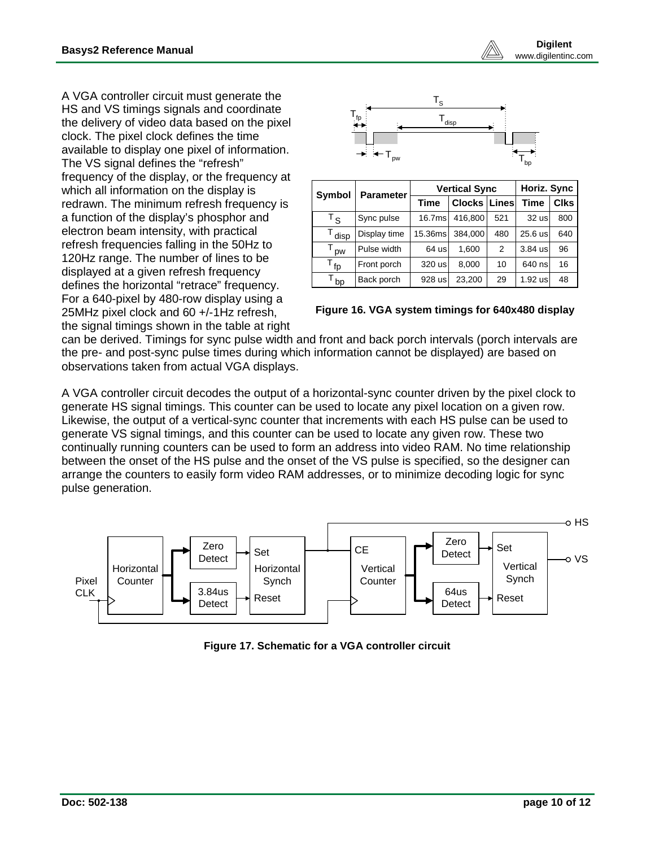A VGA controller circuit must generate the HS and VS timings signals and coordinate the delivery of video data based on the pixel clock. The pixel clock defines the time available to display one pixel of information. The VS signal defines the "refresh" frequency of the display, or the frequency at which all information on the display is redrawn. The minimum refresh frequency is a function of the display's phosphor and electron beam intensity, with practical refresh frequencies falling in the 50Hz to 120Hz range. The number of lines to be displayed at a given refresh frequency defines the horizontal "retrace" frequency. For a 640-pixel by 480-row display using a 25MHz pixel clock and 60 +/-1Hz refresh, the signal timings shown in the table at right



| Symbol           | <b>Parameter</b> |         | <b>Vertical Sync</b> | Horiz. Sync |             |                   |
|------------------|------------------|---------|----------------------|-------------|-------------|-------------------|
|                  |                  | Time    | Clocks   Lines       |             | <b>Time</b> | Clks <sup>1</sup> |
| $^{\intercal}$ s | Sync pulse       | 16.7ms  | 416.800              | 521         | 32 us       | 800               |
| disp             | Display time     | 15.36ms | 384,000              | 480         | 25.6 us     | 640               |
| <b>DW</b>        | Pulse width      | 64 usl  | 1.600                | 2           | $3.84$ us   | 96                |
| $T_{\text{fp}}$  | Front porch      | 320 us  | 8.000                | 10          | 640 ns      | 16                |
| bp               | Back porch       | 928 usl | 23,200               | 29          | 1.92 us     | 48                |

| Figure 16. VGA system timings for 640x480 display |  |  |
|---------------------------------------------------|--|--|
|                                                   |  |  |

can be derived. Timings for sync pulse width and front and back porch intervals (porch intervals are the pre- and post-sync pulse times during which information cannot be displayed) are based on observations taken from actual VGA displays.

A VGA controller circuit decodes the output of a horizontal-sync counter driven by the pixel clock to generate HS signal timings. This counter can be used to locate any pixel location on a given row. Likewise, the output of a vertical-sync counter that increments with each HS pulse can be used to generate VS signal timings, and this counter can be used to locate any given row. These two continually running counters can be used to form an address into video RAM. No time relationship between the onset of the HS pulse and the onset of the VS pulse is specified, so the designer can arrange the counters to easily form video RAM addresses, or to minimize decoding logic for sync pulse generation.



**Figure 17. Schematic for a VGA controller circuit**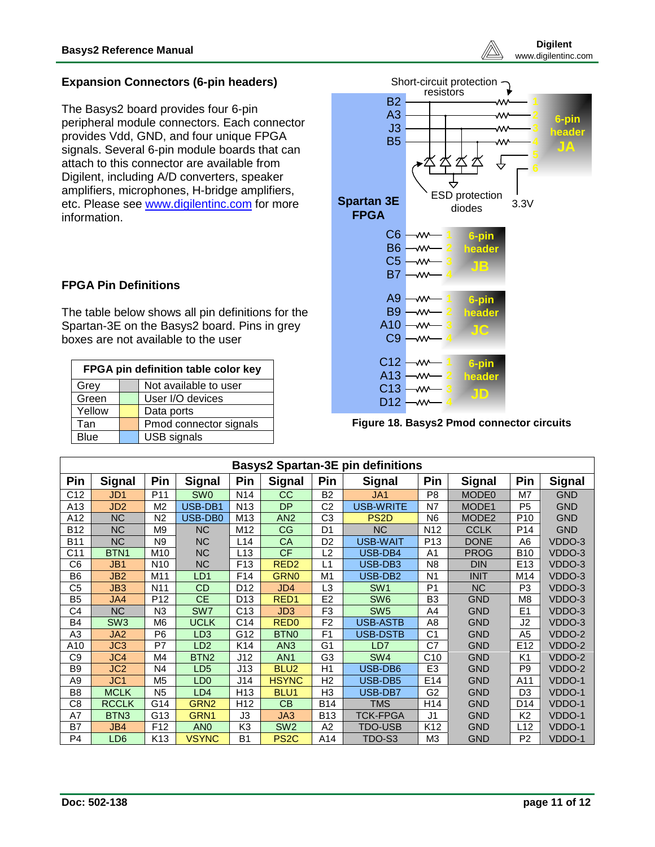

## **Expansion Connectors (6-pin headers)**

The Basys2 board provides four 6-pin peripheral module connectors. Each connector provides Vdd, GND, and four unique FPGA signals. Several 6-pin module boards that can attach to this connector are available from Digilent, including A/D converters, speaker amplifiers, microphones, H-bridge amplifiers, etc. Please see [www.digilentinc.com](http://www.digilentinc.com/) for more information.

## **FPGA Pin Definitions**

The table below shows all pin definitions for the Spartan-3E on the Basys2 board. Pins in grey boxes are not available to the user

| FPGA pin definition table color key |  |                        |  |  |  |
|-------------------------------------|--|------------------------|--|--|--|
| Grey                                |  | Not available to user  |  |  |  |
| Green                               |  | User I/O devices       |  |  |  |
| Yellow                              |  | Data ports             |  |  |  |
| Tan                                 |  | Pmod connector signals |  |  |  |
| <b>Blue</b>                         |  | <b>USB</b> signals     |  |  |  |



**Figure 18. Basys2 Pmod connector circuits**

| <b>Basys2 Spartan-3E pin definitions</b> |                  |                 |                  |                 |                   |                |                     |                 |                   |                 |               |
|------------------------------------------|------------------|-----------------|------------------|-----------------|-------------------|----------------|---------------------|-----------------|-------------------|-----------------|---------------|
| Pin                                      | <b>Signal</b>    | Pin             | <b>Signal</b>    | Pin             | <b>Signal</b>     | Pin            | <b>Signal</b>       | Pin             | <b>Signal</b>     | Pin             | <b>Signal</b> |
| C <sub>12</sub>                          | JD <sub>1</sub>  | P <sub>11</sub> | SW <sub>0</sub>  | N <sub>14</sub> | <b>CC</b>         | B <sub>2</sub> | JA1                 | P <sub>8</sub>  | MODE <sub>0</sub> | M7              | <b>GND</b>    |
| A13                                      | JD <sub>2</sub>  | M <sub>2</sub>  | USB-DB1          | N <sub>13</sub> | <b>DP</b>         | C2             | USB-WRITE           | N7              | MODE1             | P <sub>5</sub>  | <b>GND</b>    |
| A12                                      | <b>NC</b>        | N <sub>2</sub>  | USB-DB0          | M13             | AN <sub>2</sub>   | C3             | PS <sub>2</sub> D   | N6              | MODE <sub>2</sub> | P <sub>10</sub> | <b>GND</b>    |
| <b>B12</b>                               | <b>NC</b>        | M <sub>9</sub>  | <b>NC</b>        | M12             | CG                | D <sub>1</sub> | <b>NC</b>           | N <sub>12</sub> | <b>CCLK</b>       | P <sub>14</sub> | <b>GND</b>    |
| <b>B11</b>                               | <b>NC</b>        | N <sub>9</sub>  | <b>NC</b>        | L14             | CA                | D <sub>2</sub> | USB-WAIT            | P <sub>13</sub> | <b>DONE</b>       | A6              | VDDO-3        |
| C <sub>11</sub>                          | BTN <sub>1</sub> | M <sub>10</sub> | <b>NC</b>        | L13             | <b>CF</b>         | L <sub>2</sub> | USB-DB4             | A1              | <b>PROG</b>       | <b>B10</b>      | VDDO-3        |
| C6                                       | JB1              | N <sub>10</sub> | <b>NC</b>        | F <sub>13</sub> | RED <sub>2</sub>  | L1             | USB-DB3             | N <sub>8</sub>  | <b>DIN</b>        | E <sub>13</sub> | VDDO-3        |
| B <sub>6</sub>                           | JB <sub>2</sub>  | M11             | LD <sub>1</sub>  | F14             | <b>GRN0</b>       | M <sub>1</sub> | USB-DB <sub>2</sub> | N <sub>1</sub>  | <b>INIT</b>       | M14             | VDDO-3        |
| C5                                       | JB3              | N <sub>11</sub> | <b>CD</b>        | D <sub>12</sub> | JD4               | L3             | SW <sub>1</sub>     | P <sub>1</sub>  | <b>NC</b>         | P <sub>3</sub>  | VDDO-3        |
| B <sub>5</sub>                           | JA4              | P <sub>12</sub> | <b>CE</b>        | D <sub>13</sub> | RED <sub>1</sub>  | E <sub>2</sub> | SW <sub>6</sub>     | B <sub>3</sub>  | <b>GND</b>        | M <sub>8</sub>  | VDDO-3        |
| C4                                       | <b>NC</b>        | N <sub>3</sub>  | SW <sub>7</sub>  | C13             | JD <sub>3</sub>   | F <sub>3</sub> | SW <sub>5</sub>     | A4              | <b>GND</b>        | E1              | VDDO-3        |
| B4                                       | SW <sub>3</sub>  | M <sub>6</sub>  | <b>UCLK</b>      | C14             | RED <sub>0</sub>  | F <sub>2</sub> | <b>USB-ASTB</b>     | A8              | <b>GND</b>        | J2              | VDDO-3        |
| A3                                       | JA <sub>2</sub>  | P <sub>6</sub>  | LD <sub>3</sub>  | G12             | <b>BTNO</b>       | F <sub>1</sub> | <b>USB-DSTB</b>     | C <sub>1</sub>  | <b>GND</b>        | A <sub>5</sub>  | VDDO-2        |
| A10                                      | JC <sub>3</sub>  | P7              | LD <sub>2</sub>  | K14             | AN3               | G <sub>1</sub> | LD7                 | C7              | <b>GND</b>        | E <sub>12</sub> | VDDO-2        |
| C9                                       | JC4              | M4              | BTN <sub>2</sub> | J12             | AN <sub>1</sub>   | G <sub>3</sub> | SW <sub>4</sub>     | C10             | <b>GND</b>        | K <sub>1</sub>  | VDDO-2        |
| B9                                       | JC <sub>2</sub>  | N4              | LD <sub>5</sub>  | J13             | BLU <sub>2</sub>  | H1             | USB-DB6             | E <sub>3</sub>  | <b>GND</b>        | P <sub>9</sub>  | VDDO-2        |
| A9                                       | JC <sub>1</sub>  | M <sub>5</sub>  | LD <sub>0</sub>  | J14             | <b>HSYNC</b>      | H <sub>2</sub> | USB-DB5             | E <sub>14</sub> | <b>GND</b>        | A11             | VDDO-1        |
| B <sub>8</sub>                           | <b>MCLK</b>      | N <sub>5</sub>  | LD4              | H13             | BLU <sub>1</sub>  | H <sub>3</sub> | USB-DB7             | G <sub>2</sub>  | <b>GND</b>        | D <sub>3</sub>  | VDDO-1        |
| C8                                       | <b>RCCLK</b>     | G14             | GRN <sub>2</sub> | H12             | <b>CB</b>         | <b>B14</b>     | TMS                 | H <sub>14</sub> | <b>GND</b>        | D <sub>14</sub> | VDDO-1        |
| A7                                       | BTN <sub>3</sub> | G13             | GRN <sub>1</sub> | J3              | JA3               | <b>B13</b>     | <b>TCK-FPGA</b>     | J <sub>1</sub>  | <b>GND</b>        | K <sub>2</sub>  | VDDO-1        |
| B7                                       | JB4              | F <sub>12</sub> | AN <sub>0</sub>  | K <sub>3</sub>  | SW <sub>2</sub>   | A2             | <b>TDO-USB</b>      | K <sub>12</sub> | <b>GND</b>        | L12             | VDDO-1        |
| P <sub>4</sub>                           | LD <sub>6</sub>  | K <sub>13</sub> | <b>VSYNC</b>     | <b>B1</b>       | PS <sub>2</sub> C | A14            | TDO-S3              | M <sub>3</sub>  | <b>GND</b>        | P <sub>2</sub>  | VDDO-1        |